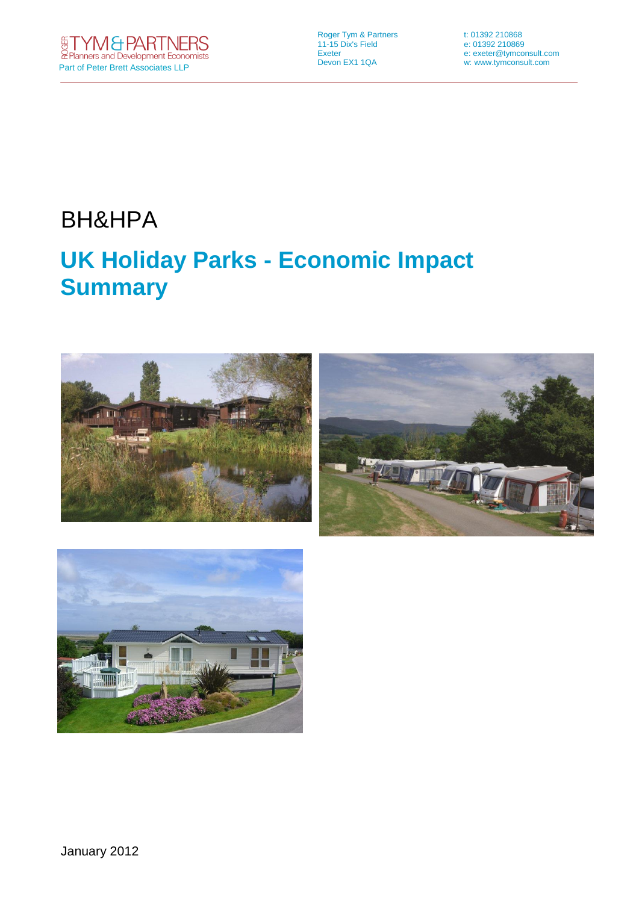Roger Tym & Partners t: 01392 210868 11-15 Dix's Field e: 01392 210869

Exeter e: exeter@tymconsult.com<br>
Devon EX1 1QA v: www.tymconsult.com w: www.tymconsult.com

# BH&HPA

# **UK Holiday Parks - Economic Impact Summary**



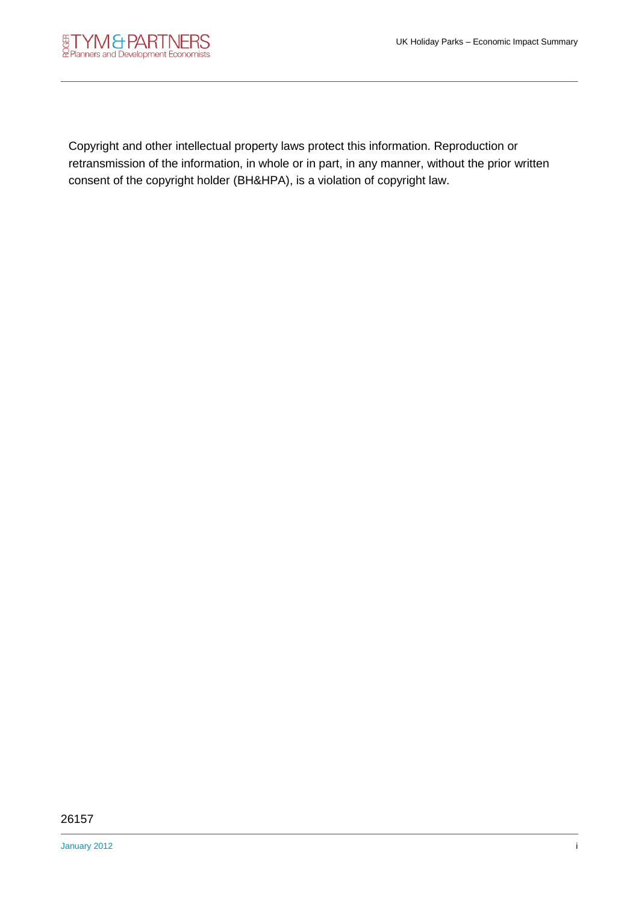

Copyright and other intellectual property laws protect this information. Reproduction or retransmission of the information, in whole or in part, in any manner, without the prior written consent of the copyright holder (BH&HPA), is a violation of copyright law.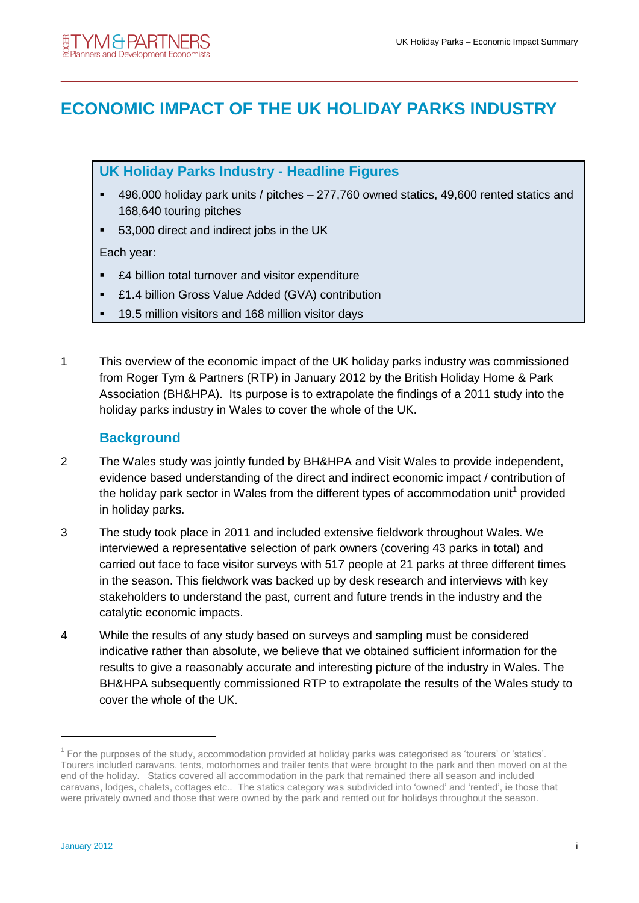# **ECONOMIC IMPACT OF THE UK HOLIDAY PARKS INDUSTRY**

**UK Holiday Parks Industry - Headline Figures**

- 496,000 holiday park units / pitches 277,760 owned statics, 49,600 rented statics and 168,640 touring pitches
- 53,000 direct and indirect jobs in the UK

Each year:

- £4 billion total turnover and visitor expenditure
- £1.4 billion Gross Value Added (GVA) contribution
- 19.5 million visitors and 168 million visitor days
- 1 This overview of the economic impact of the UK holiday parks industry was commissioned from Roger Tym & Partners (RTP) in January 2012 by the British Holiday Home & Park Association (BH&HPA). Its purpose is to extrapolate the findings of a 2011 study into the holiday parks industry in Wales to cover the whole of the UK.

#### **Background**

- 2 The Wales study was jointly funded by BH&HPA and Visit Wales to provide independent, evidence based understanding of the direct and indirect economic impact / contribution of the holiday park sector in Wales from the different types of accommodation unit<sup>1</sup> provided in holiday parks.
- 3 The study took place in 2011 and included extensive fieldwork throughout Wales. We interviewed a representative selection of park owners (covering 43 parks in total) and carried out face to face visitor surveys with 517 people at 21 parks at three different times in the season. This fieldwork was backed up by desk research and interviews with key stakeholders to understand the past, current and future trends in the industry and the catalytic economic impacts.
- 4 While the results of any study based on surveys and sampling must be considered indicative rather than absolute, we believe that we obtained sufficient information for the results to give a reasonably accurate and interesting picture of the industry in Wales. The BH&HPA subsequently commissioned RTP to extrapolate the results of the Wales study to cover the whole of the UK.

-

 $1$  For the purposes of the study, accommodation provided at holiday parks was categorised as 'tourers' or 'statics'. Tourers included caravans, tents, motorhomes and trailer tents that were brought to the park and then moved on at the end of the holiday. Statics covered all accommodation in the park that remained there all season and included caravans, lodges, chalets, cottages etc.. The statics category was subdivided into 'owned' and 'rented', ie those that were privately owned and those that were owned by the park and rented out for holidays throughout the season.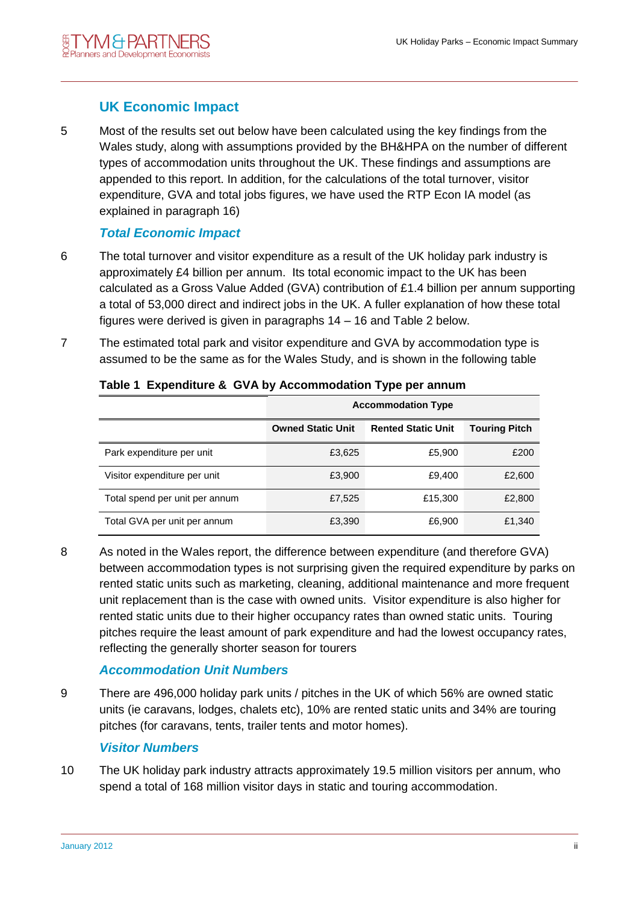# **UK Economic Impact**

5 Most of the results set out below have been calculated using the key findings from the Wales study, along with assumptions provided by the BH&HPA on the number of different types of accommodation units throughout the UK. These findings and assumptions are appended to this report. In addition, for the calculations of the total turnover, visitor expenditure, GVA and total jobs figures, we have used the RTP Econ IA model (as explained in paragraph 16)

# *Total Economic Impact*

- 6 The total turnover and visitor expenditure as a result of the UK holiday park industry is approximately £4 billion per annum. Its total economic impact to the UK has been calculated as a Gross Value Added (GVA) contribution of £1.4 billion per annum supporting a total of 53,000 direct and indirect jobs in the UK. A fuller explanation of how these total figures were derived is given in paragraphs 14 – 16 and Table 2 below.
- 7 The estimated total park and visitor expenditure and GVA by accommodation type is assumed to be the same as for the Wales Study, and is shown in the following table

|                                | <b>Accommodation Type</b> |                           |                      |  |  |  |  |
|--------------------------------|---------------------------|---------------------------|----------------------|--|--|--|--|
|                                | <b>Owned Static Unit</b>  | <b>Rented Static Unit</b> | <b>Touring Pitch</b> |  |  |  |  |
| Park expenditure per unit      | £3,625                    | £5,900                    | £200                 |  |  |  |  |
| Visitor expenditure per unit   | £3,900                    | £9,400                    | £2,600               |  |  |  |  |
| Total spend per unit per annum | £7,525                    | £15,300                   | £2,800               |  |  |  |  |
| Total GVA per unit per annum   | £3,390                    | £6,900                    | £1,340               |  |  |  |  |

#### **Table 1 Expenditure & GVA by Accommodation Type per annum**

8 As noted in the Wales report, the difference between expenditure (and therefore GVA) between accommodation types is not surprising given the required expenditure by parks on rented static units such as marketing, cleaning, additional maintenance and more frequent unit replacement than is the case with owned units. Visitor expenditure is also higher for rented static units due to their higher occupancy rates than owned static units. Touring pitches require the least amount of park expenditure and had the lowest occupancy rates, reflecting the generally shorter season for tourers

# *Accommodation Unit Numbers*

9 There are 496,000 holiday park units / pitches in the UK of which 56% are owned static units (ie caravans, lodges, chalets etc), 10% are rented static units and 34% are touring pitches (for caravans, tents, trailer tents and motor homes).

# *Visitor Numbers*

10 The UK holiday park industry attracts approximately 19.5 million visitors per annum, who spend a total of 168 million visitor days in static and touring accommodation.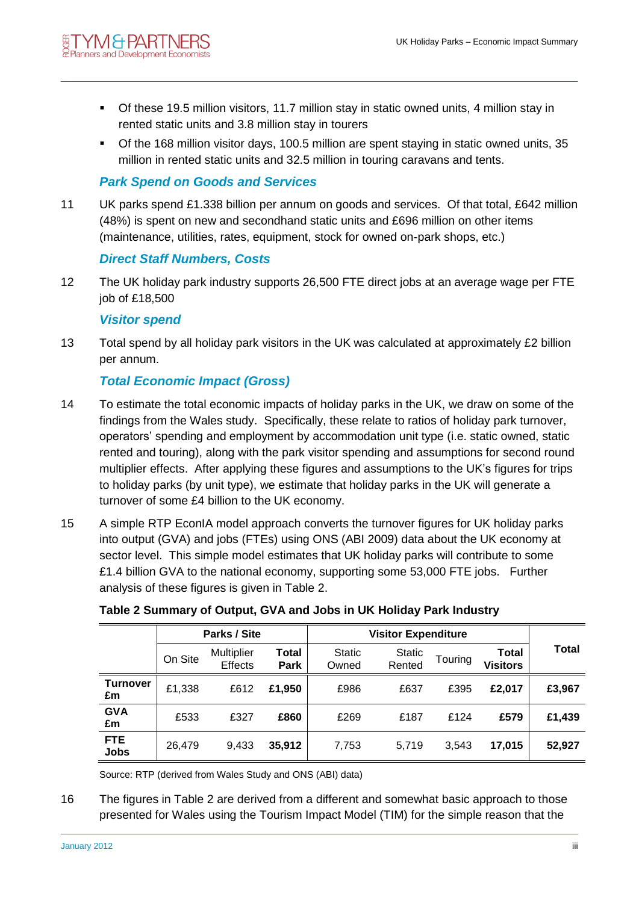- Of these 19.5 million visitors, 11.7 million stay in static owned units, 4 million stay in rented static units and 3.8 million stay in tourers
- Of the 168 million visitor days, 100.5 million are spent staying in static owned units, 35 million in rented static units and 32.5 million in touring caravans and tents.

# *Park Spend on Goods and Services*

11 UK parks spend £1.338 billion per annum on goods and services. Of that total, £642 million (48%) is spent on new and secondhand static units and £696 million on other items (maintenance, utilities, rates, equipment, stock for owned on-park shops, etc.)

#### *Direct Staff Numbers, Costs*

12 The UK holiday park industry supports 26,500 FTE direct jobs at an average wage per FTE job of £18,500

#### *Visitor spend*

13 Total spend by all holiday park visitors in the UK was calculated at approximately £2 billion per annum.

# *Total Economic Impact (Gross)*

- 14 To estimate the total economic impacts of holiday parks in the UK, we draw on some of the findings from the Wales study. Specifically, these relate to ratios of holiday park turnover, operators' spending and employment by accommodation unit type (i.e. static owned, static rented and touring), along with the park visitor spending and assumptions for second round multiplier effects. After applying these figures and assumptions to the UK's figures for trips to holiday parks (by unit type), we estimate that holiday parks in the UK will generate a turnover of some £4 billion to the UK economy.
- 15 A simple RTP EconIA model approach converts the turnover figures for UK holiday parks into output (GVA) and jobs (FTEs) using ONS (ABI 2009) data about the UK economy at sector level. This simple model estimates that UK holiday parks will contribute to some £1.4 billion GVA to the national economy, supporting some 53,000 FTE jobs. Further analysis of these figures is given in Table 2.

|                           | Parks / Site |                              | <b>Visitor Expenditure</b> |                        |                         |         |                                 |        |
|---------------------------|--------------|------------------------------|----------------------------|------------------------|-------------------------|---------|---------------------------------|--------|
|                           | On Site      | Multiplier<br><b>Effects</b> | Total<br><b>Park</b>       | <b>Static</b><br>Owned | <b>Static</b><br>Rented | Touring | <b>Total</b><br><b>Visitors</b> | Total  |
| <b>Turnover</b><br>£m     | £1,338       | £612                         | £1,950                     | £986                   | £637                    | £395    | £2.017                          | £3,967 |
| <b>GVA</b><br>£m          | £533         | £327                         | £860                       | £269                   | £187                    | £124    | £579                            | £1,439 |
| <b>FTE</b><br><b>Jobs</b> | 26.479       | 9.433                        | 35,912                     | 7,753                  | 5,719                   | 3.543   | 17,015                          | 52,927 |

# **Table 2 Summary of Output, GVA and Jobs in UK Holiday Park Industry**

Source: RTP (derived from Wales Study and ONS (ABI) data)

16 The figures in Table 2 are derived from a different and somewhat basic approach to those presented for Wales using the Tourism Impact Model (TIM) for the simple reason that the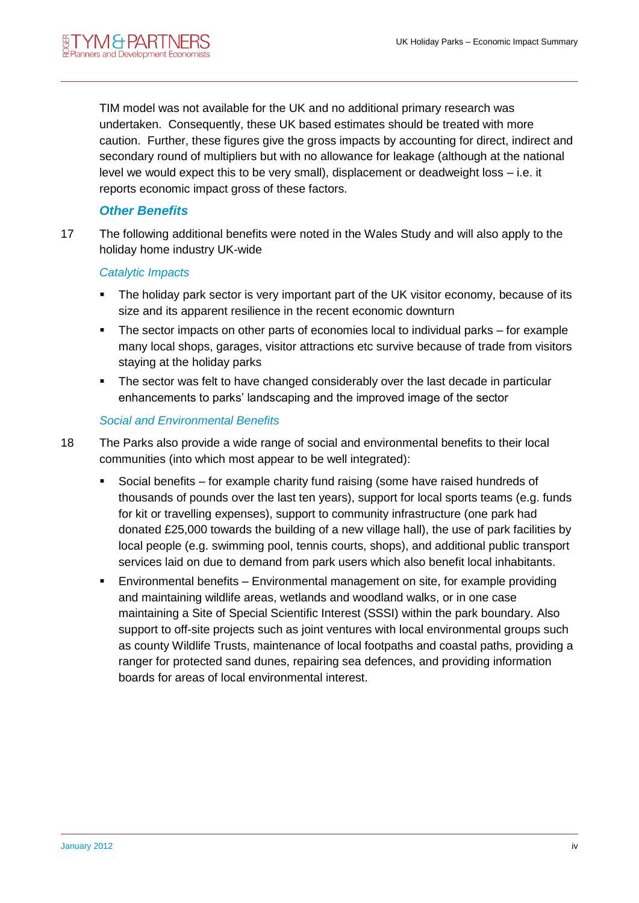TIM model was not available for the UK and no additional primary research was undertaken. Consequently, these UK based estimates should be treated with more caution. Further, these figures give the gross impacts by accounting for direct, indirect and secondary round of multipliers but with no allowance for leakage (although at the national level we would expect this to be very small), displacement or deadweight loss – i.e. it reports economic impact gross of these factors.

#### *Other Benefits*

17 The following additional benefits were noted in the Wales Study and will also apply to the holiday home industry UK-wide

#### *Catalytic Impacts*

- The holiday park sector is very important part of the UK visitor economy, because of its size and its apparent resilience in the recent economic downturn
- The sector impacts on other parts of economies local to individual parks for example many local shops, garages, visitor attractions etc survive because of trade from visitors staying at the holiday parks
- The sector was felt to have changed considerably over the last decade in particular enhancements to parks' landscaping and the improved image of the sector

#### *Social and Environmental Benefits*

- 18 The Parks also provide a wide range of social and environmental benefits to their local communities (into which most appear to be well integrated):
	- Social benefits for example charity fund raising (some have raised hundreds of thousands of pounds over the last ten years), support for local sports teams (e.g. funds for kit or travelling expenses), support to community infrastructure (one park had donated £25,000 towards the building of a new village hall), the use of park facilities by local people (e.g. swimming pool, tennis courts, shops), and additional public transport services laid on due to demand from park users which also benefit local inhabitants.
	- Environmental benefits Environmental management on site, for example providing and maintaining wildlife areas, wetlands and woodland walks, or in one case maintaining a Site of Special Scientific Interest (SSSI) within the park boundary. Also support to off-site projects such as joint ventures with local environmental groups such as county Wildlife Trusts, maintenance of local footpaths and coastal paths, providing a ranger for protected sand dunes, repairing sea defences, and providing information boards for areas of local environmental interest.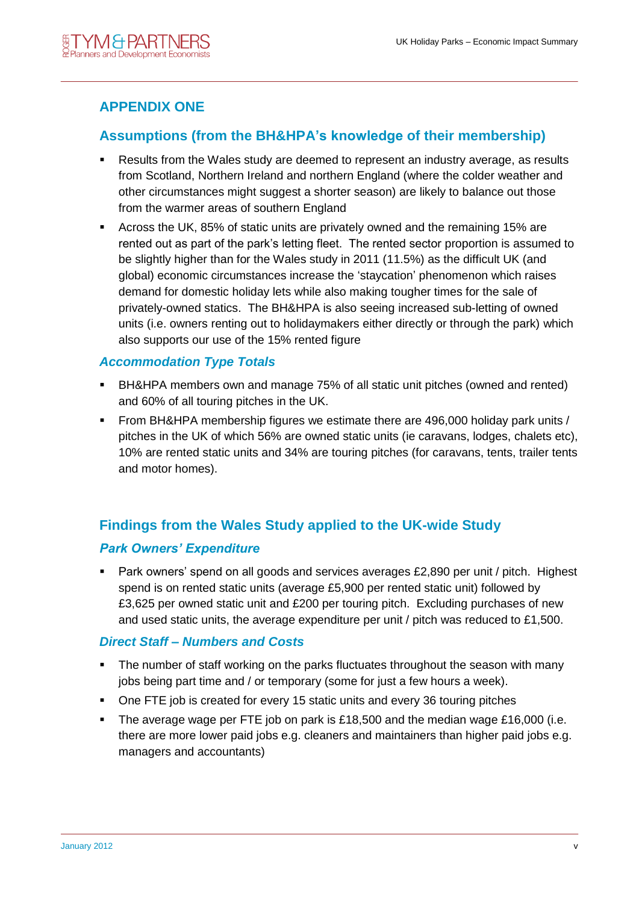# **APPENDIX ONE**

# **Assumptions (from the BH&HPA's knowledge of their membership)**

- Results from the Wales study are deemed to represent an industry average, as results from Scotland, Northern Ireland and northern England (where the colder weather and other circumstances might suggest a shorter season) are likely to balance out those from the warmer areas of southern England
- Across the UK, 85% of static units are privately owned and the remaining 15% are rented out as part of the park's letting fleet. The rented sector proportion is assumed to be slightly higher than for the Wales study in 2011 (11.5%) as the difficult UK (and global) economic circumstances increase the 'staycation' phenomenon which raises demand for domestic holiday lets while also making tougher times for the sale of privately-owned statics. The BH&HPA is also seeing increased sub-letting of owned units (i.e. owners renting out to holidaymakers either directly or through the park) which also supports our use of the 15% rented figure

#### *Accommodation Type Totals*

- BH&HPA members own and manage 75% of all static unit pitches (owned and rented) and 60% of all touring pitches in the UK.
- From BH&HPA membership figures we estimate there are 496,000 holiday park units / pitches in the UK of which 56% are owned static units (ie caravans, lodges, chalets etc), 10% are rented static units and 34% are touring pitches (for caravans, tents, trailer tents and motor homes).

# **Findings from the Wales Study applied to the UK-wide Study**

#### *Park Owners' Expenditure*

**Park owners' spend on all goods and services averages £2,890 per unit / pitch. Highest** spend is on rented static units (average £5,900 per rented static unit) followed by £3,625 per owned static unit and £200 per touring pitch. Excluding purchases of new and used static units, the average expenditure per unit  $/$  pitch was reduced to £1,500.

#### *Direct Staff – Numbers and Costs*

- The number of staff working on the parks fluctuates throughout the season with many jobs being part time and / or temporary (some for just a few hours a week).
- One FTE job is created for every 15 static units and every 36 touring pitches
- The average wage per FTE job on park is £18,500 and the median wage £16,000 (i.e. there are more lower paid jobs e.g. cleaners and maintainers than higher paid jobs e.g. managers and accountants)